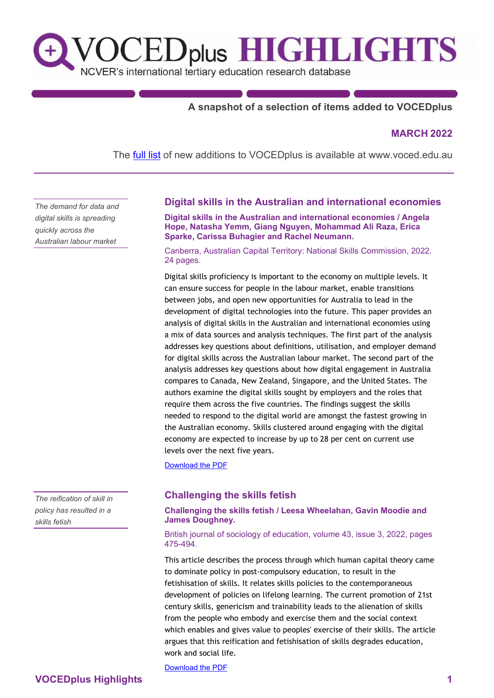

# **A snapshot of a selection of items added to VOCEDplus**

#### **MARCH 2022**

The **[full list](https://www.voced.edu.au/newItemsAdded)** of new additions to VOCEDplus is available at [www.voced.edu.au](https://www.voced.edu.au/)

*The demand for data and digital skills is spreading quickly across the Australian labour market*

#### **Digital skills in the Australian and international economies**

**Digital skills in the Australian and international economies / Angela Hope, Natasha Yemm, Giang Nguyen, Mohammad Ali Raza, Erica Sparke, Carissa Buhagier and Rachel Neumann.**

Canberra, Australian Capital Territory: National Skills Commission, 2022. 24 pages.

Digital skills proficiency is important to the economy on multiple levels. It can ensure success for people in the labour market, enable transitions between jobs, and open new opportunities for Australia to lead in the development of digital technologies into the future. This paper provides an analysis of digital skills in the Australian and international economies using a mix of data sources and analysis techniques. The first part of the analysis addresses key questions about definitions, utilisation, and employer demand for digital skills across the Australian labour market. The second part of the analysis addresses key questions about how digital engagement in Australia compares to Canada, New Zealand, Singapore, and the United States. The authors examine the digital skills sought by employers and the roles that require them across the five countries. The findings suggest the skills needed to respond to the digital world are amongst the fastest growing in the Australian economy. Skills clustered around engaging with the digital economy are expected to increase by up to 28 per cent on current use levels over the next five years.

[Download the PDF](https://www.nationalskillscommission.gov.au/sites/default/files/2022-03/ABS%20Paper%20-%20Digital%20Skills.pdf)

### **Challenging the skills fetish**

#### **Challenging the skills fetish / Leesa Wheelahan, Gavin Moodie and James Doughney.**

British journal of sociology of education, volume 43, issue 3, 2022, pages 475-494.

This article describes the process through which human capital theory came to dominate policy in post-compulsory education, to result in the fetishisation of skills. It relates skills policies to the contemporaneous development of policies on lifelong learning. The current promotion of 21st century skills, genericism and trainability leads to the alienation of skills from the people who embody and exercise them and the social context which enables and gives value to peoples' exercise of their skills. The article argues that this reification and fetishisation of skills degrades education, work and social life.

[Download the PDF](https://doi.org/10.1080/01425692.2022.2045186)

*The reification of skill in policy has resulted in a skills fetish*

# **VOCEDplus Highlights 1**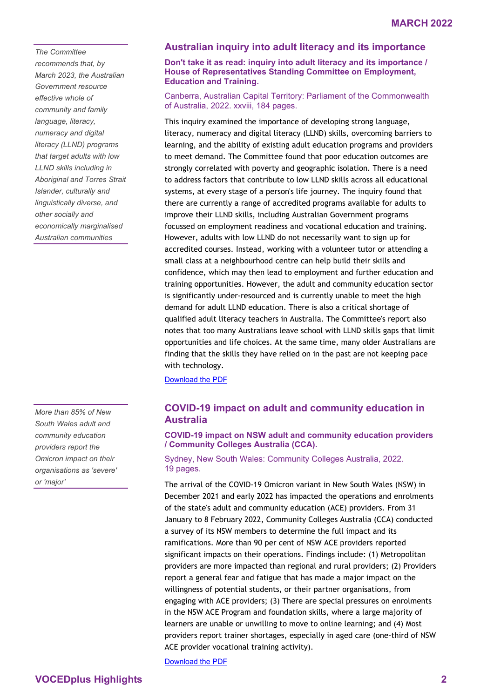*The Committee recommends that, by March 2023, the Australian Government resource effective whole of community and family language, literacy, numeracy and digital literacy (LLND) programs that target adults with low LLND skills including in Aboriginal and Torres Strait Islander, culturally and linguistically diverse, and other socially and economically marginalised Australian communities*

*More than 85% of New South Wales adult and community education providers report the Omicron impact on their organisations as 'severe' or 'major'*

### **Australian inquiry into adult literacy and its importance**

**Don't take it as read: inquiry into adult literacy and its importance / House of Representatives Standing Committee on Employment, Education and Training.**

Canberra, Australian Capital Territory: Parliament of the Commonwealth of Australia, 2022. xxviii, 184 pages.

This inquiry examined the importance of developing strong language, literacy, numeracy and digital literacy (LLND) skills, overcoming barriers to learning, and the ability of existing adult education programs and providers to meet demand. The Committee found that poor education outcomes are strongly correlated with poverty and geographic isolation. There is a need to address factors that contribute to low LLND skills across all educational systems, at every stage of a person's life journey. The inquiry found that there are currently a range of accredited programs available for adults to improve their LLND skills, including Australian Government programs focussed on employment readiness and vocational education and training. However, adults with low LLND do not necessarily want to sign up for accredited courses. Instead, working with a volunteer tutor or attending a small class at a neighbourhood centre can help build their skills and confidence, which may then lead to employment and further education and training opportunities. However, the adult and community education sector is significantly under-resourced and is currently unable to meet the high demand for adult LLND education. There is also a critical shortage of qualified adult literacy teachers in Australia. The Committee's report also notes that too many Australians leave school with LLND skills gaps that limit opportunities and life choices. At the same time, many older Australians are finding that the skills they have relied on in the past are not keeping pace with technology.

[Download the PDF](https://parlinfo.aph.gov.au/parlInfo/download/committees/reportrep/024806/toc_pdf/Don)

# **COVID-19 impact on adult and community education in Australia**

**COVID-19 impact on NSW adult and community education providers / Community Colleges Australia (CCA).**

Sydney, New South Wales: Community Colleges Australia, 2022. 19 pages.

The arrival of the COVID-19 Omicron variant in New South Wales (NSW) in December 2021 and early 2022 has impacted the operations and enrolments of the state's adult and community education (ACE) providers. From 31 January to 8 February 2022, Community Colleges Australia (CCA) conducted a survey of its NSW members to determine the full impact and its ramifications. More than 90 per cent of NSW ACE providers reported significant impacts on their operations. Findings include: (1) Metropolitan providers are more impacted than regional and rural providers; (2) Providers report a general fear and fatigue that has made a major impact on the willingness of potential students, or their partner organisations, from engaging with ACE providers; (3) There are special pressures on enrolments in the NSW ACE Program and foundation skills, where a large majority of learners are unable or unwilling to move to online learning; and (4) Most providers report trainer shortages, especially in aged care (one-third of NSW ACE provider vocational training activity).

[Download the PDF](https://cca.edu.au/wp-content/uploads/2022/02/Impact-of-Omicron-on-NSW-ACE-Providers-23February2022.pdf)